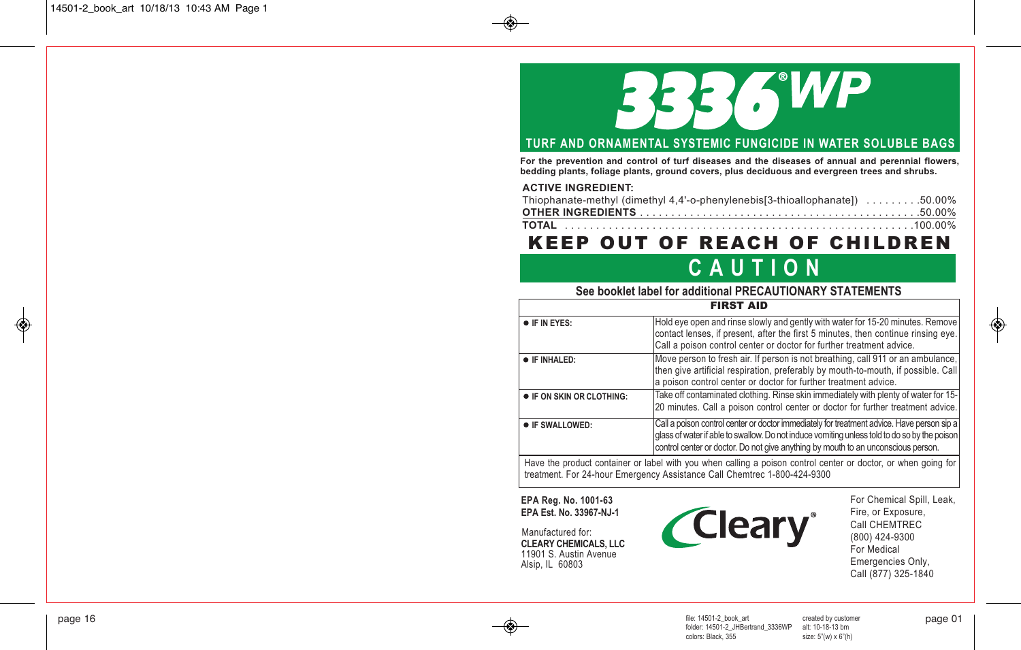# 336 WP

## **TURF AND ORNAMENTAL SYSTEMIC FUNGICIDE IN WATER SOLUBLE BAGS**

**For the prevention and control of turf diseases and the diseases of annual and perennial flowers, bedding plants, foliage plants, ground covers, plus deciduous and evergreen trees and shrubs.**

#### **ACTIVE INGREDIENT:**

| Thiophanate-methyl (dimethyl 4,4'-o-phenylenebis[3-thioallophanate]) 50.00% |  |
|-----------------------------------------------------------------------------|--|
|                                                                             |  |
|                                                                             |  |

# KEEP OUT OF REACH OF CHILDREN

# **C A U T I O N**

## **See booklet label for additional PRECAUTIONARY STATEMENTS**

|                                                                                                                                                                                                                                                                                                         | <b>FIRST AID</b>                                                                                                                                                                                                                            |  |  |
|---------------------------------------------------------------------------------------------------------------------------------------------------------------------------------------------------------------------------------------------------------------------------------------------------------|---------------------------------------------------------------------------------------------------------------------------------------------------------------------------------------------------------------------------------------------|--|--|
| <b>IF IN EYES:</b>                                                                                                                                                                                                                                                                                      | Hold eye open and rinse slowly and gently with water for 15-20 minutes. Remove<br>contact lenses, if present, after the first 5 minutes, then continue rinsing eye.<br>Call a poison control center or doctor for further treatment advice. |  |  |
| IF INHALED:                                                                                                                                                                                                                                                                                             | Move person to fresh air. If person is not breathing, call 911 or an ambulance,<br>then give artificial respiration, preferably by mouth-to-mouth, if possible. Call<br>a poison control center or doctor for further treatment advice.     |  |  |
| $\bullet$ IF ON SKIN OR CLOTHING:                                                                                                                                                                                                                                                                       | Take off contaminated clothing. Rinse skin immediately with plenty of water for 15-<br>20 minutes. Call a poison control center or doctor for further treatment advice.                                                                     |  |  |
| Call a poison control center or doctor immediately for treatment advice. Have person sip a<br><b>IF SWALLOWED:</b><br>glass of water if able to swallow. Do not induce vomiting unless told to do so by the poison<br>control center or doctor. Do not give anything by mouth to an unconscious person. |                                                                                                                                                                                                                                             |  |  |
| Have the product container or label with you when calling a poison control center or doctor, or when going for<br>treatment. For 24-hour Emergency Assistance Call Chemtrec 1-800-424-9300                                                                                                              |                                                                                                                                                                                                                                             |  |  |

#### **EPA Reg. No. 1001-63 EPA Est. No. 33967-NJ-1**

*Cleary*<sup>®</sup>

For Chemical Spill, Leak, Fire, or Exposure, Call CHEMTREC (800) 424-9300 For Medical Emergencies Only, Call (877) 325-1840

**CLEARY CHEMICALS, LLC** 11901 S. Austin Avenue Alsip, IL 60803 Manufactured for:

file: 14501-2\_book\_art created by customer folder: 14501-2\_JHBertrand\_3336WP alt: 10-18-13 bm colors: Black, 355 page 16 page 01

↔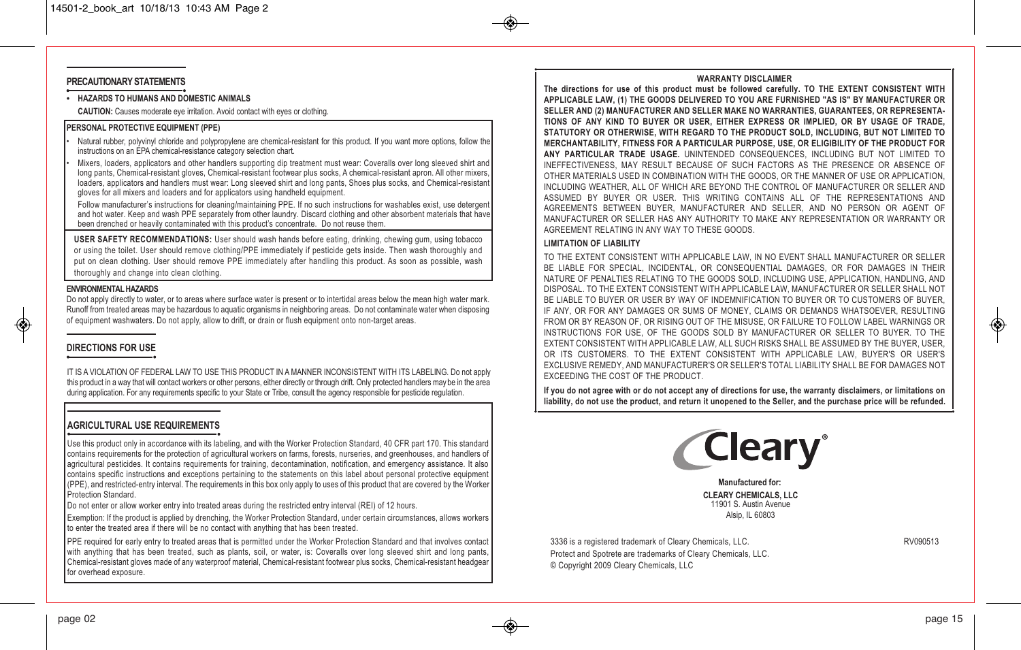#### **PRECAUTIONARY STATEMENTS**

**• HAZARDS TO HUMANS AND DOMESTIC ANIMALS**

**CAUTION:** Causes moderate eye irritation. Avoid contact with eyes or clothing.

#### **PERSONAL PROTECTIVE EQUIPMENT (PPE)**

- Natural rubber, polyvinyl chloride and polypropylene are chemical-resistant for this product. If you want more options, follow the instructions on an EPA chemical-resistance category selection chart.
- Mixers, loaders, applicators and other handlers supporting dip treatment must wear: Coveralls over long sleeved shirt and long pants, Chemical-resistant gloves, Chemical-resistant footwear plus socks, A chemical-resistant apron. All other mixers, loaders, applicators and handlers must wear: Long sleeved shirt and long pants, Shoes plus socks, and Chemical-resistant gloves for all mixers and loaders and for applicators using handheld equipment.
- Follow manufacturer's instructions for cleaning/maintaining PPE. If no such instructions for washables exist, use detergent and hot water. Keep and wash PPE separately from other laundry. Discard clothing and other absorbent materials that have been drenched or heavily contaminated with this product's concentrate. Do not reuse them.

**USER SAFETY RECOMMENDATIONS:** User should wash hands before eating, drinking, chewing gum, using tobacco or using the toilet. User should remove clothing/PPE immediately if pesticide gets inside. Then wash thoroughly and put on clean clothing. User should remove PPE immediately after handling this product. As soon as possible, wash thoroughly and change into clean clothing.

#### **ENVIRONMENTALHAZARDS**

Do not apply directly to water, or to areas where surface water is present or to intertidal areas below the mean high water mark. Runoff from treated areas may be hazardous to aquatic organisms in neighboring areas. Do not contaminate water when disposing of equipment washwaters. Do not apply, allow to drift, or drain or flush equipment onto non-target areas.

#### **DIRECTIONS FOR USE**

IT IS A VIOLATION OF FEDERAL LAW TO USE THIS PRODUCT IN A MANNER INCONSISTENT WITH ITS LABELING. Do not apply this product in a way that will contact workers or other persons, either directly or through drift. Only protected handlers may be in the area during application. For any requirements specific to your State or Tribe, consult the agency responsible for pesticide regulation.

#### **AGRICULTURAL USE REQUIREMENTS**

Use this product only in accordance with its labeling, and with the Worker Protection Standard, 40 CFR part 170. This standard contains requirements for the protection of agricultural workers on farms, forests, nurseries, and greenhouses, and handlers of agricultural pesticides. It contains requirements for training, decontamination, notification, and emergency assistance. It also contains specific instructions and exceptions pertaining to the statements on this label about personal protective equipment (PPE), and restricted-entry interval. The requirements in this box only apply to uses of this product that are covered by the Worker Protection Standard.

Do not enter or allow worker entry into treated areas during the restricted entry interval (REI) of 12 hours.

Exemption: If the product is applied by drenching, the Worker Protection Standard, under certain circumstances, allows workers to enter the treated area if there will be no contact with anything that has been treated.

PPE required for early entry to treated areas that is permitted under the Worker Protection Standard and that involves contact with anything that has been treated, such as plants, soil, or water, is: Coveralls over long sleeved shirt and long pants, Chemical-resistant gloves made of any waterproof material, Chemical-resistant footwear plus socks, Chemical-resistant headgear for overhead exposure.

#### **WARRANTY DISCLAIMER**

**The directions for use of this product must be followed carefully. TO THE EXTENT CONSISTENT WITH APPLICABLE LAW, (1) THE GOODS DELIVERED TO YOU ARE FURNISHED "AS IS" BY MANUFACTURER OR SELLER AND (2) MANUFACTURER AND SELLER MAKE NO WARRANTIES, GUARANTEES, OR REPRESENTA-TIONS OF ANY KIND TO BUYER OR USER, EITHER EXPRESS OR IMPLIED, OR BY USAGE OF TRADE, STATUTORY OR OTHERWISE, WITH REGARD TO THE PRODUCT SOLD, INCLUDING, BUT NOT LIMITED TO MERCHANTABILITY, FITNESS FOR A PARTICULAR PURPOSE, USE, OR ELIGIBILITY OF THE PRODUCT FOR ANY PARTICULAR TRADE USAGE.** UNINTENDED CONSEQUENCES, INCLUDING BUT NOT LIMITED TO INEFFECTIVENESS, MAY RESULT BECAUSE OF SUCH FACTORS AS THE PRESENCE OR ABSENCE OF OTHER MATERIALS USED IN COMBINATION WITH THE GOODS, OR THE MANNER OF USE OR APPLICATION, INCLUDING WEATHER, ALL OF WHICH ARE BEYOND THE CONTROL OF MANUFACTURER OR SELLER AND ASSUMED BY BUYER OR USER. THIS WRITING CONTAINS ALL OF THE REPRESENTATIONS AND AGREEMENTS BETWEEN BUYER, MANUFACTURER AND SELLER, AND NO PERSON OR AGENT OF MANUFACTURER OR SELLER HAS ANY AUTHORITY TO MAKE ANY REPRESENTATION OR WARRANTY OR AGREEMENT RELATING IN ANY WAY TO THESE GOODS.

#### **LIMITATION OF LIABILITY**

TO THE EXTENT CONSISTENT WITH APPLICABLE LAW, IN NO EVENT SHALL MANUFACTURER OR SELLER BE LIABLE FOR SPECIAL, INCIDENTAL, OR CONSEQUENTIAL DAMAGES, OR FOR DAMAGES IN THEIR NATURE OF PENALTIES RELATING TO THE GOODS SOLD, INCLUDING USE, APPLICATION, HANDLING, AND DISPOSAL. TO THE EXTENT CONSISTENT WITH APPLICABLE LAW, MANUFACTURER OR SELLER SHALL NOT BE LIABLE TO BUYER OR USER BY WAY OF INDEMNIFICATION TO BUYER OR TO CUSTOMERS OF BUYER. IF ANY, OR FOR ANY DAMAGES OR SUMS OF MONEY, CLAIMS OR DEMANDS WHATSOEVER, RESULTING FROM OR BY REASON OF, OR RISING OUT OF THE MISUSE, OR FAILURE TO FOLLOW LABEL WARNINGS OR INSTRUCTIONS FOR USE, OF THE GOODS SOLD BY MANUFACTURER OR SELLER TO BUYER. TO THE EXTENT CONSISTENT WITH APPLICABLE LAW, ALL SUCH RISKS SHALL BE ASSUMED BY THE BUYER, USER, OR ITS CUSTOMERS. TO THE EXTENT CONSISTENT WITH APPLICABLE LAW, BUYER'S OR USER'S EXCLUSIVE REMEDY, AND MANUFACTURER'S OR SELLER'S TOTAL LIABILITY SHALL BE FOR DAMAGES NOT EXCEEDING THE COST OF THE PRODUCT.

If you do not agree with or do not accept any of directions for use, the warranty disclaimers, or limitations on liability, do not use the product, and return it unopened to the Seller, and the purchase price will be refunded.



**Manufactured for: CLEARY CHEMICALS, LLC** 11901 S. Austin Avenue Alsip, IL 60803

3336 is a registered trademark of Cleary Chemicals, LLC. The contract of Cleary Chemicals, LLC. Protect and Spotrete are trademarks of Cleary Chemicals, LLC. © Copyright 2009 Cleary Chemicals, LLC

◈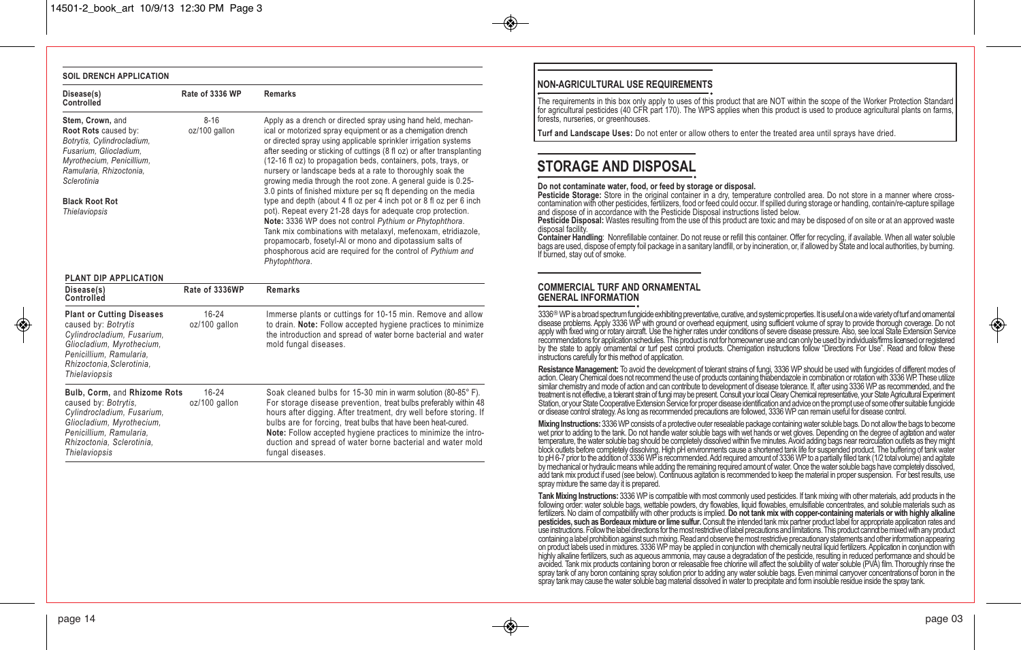#### **SOIL DRENCH APPLICATION**

| Disease(s)<br>Controlled                                                                                                                                                                                                 | Rate of 3336 WP           | <b>Remarks</b>                                                                                                                                                                                                                                                                                                                                                                                                                                                                                                                                                                                                                                                                                                                                                                                                                                                                                                                                             |
|--------------------------------------------------------------------------------------------------------------------------------------------------------------------------------------------------------------------------|---------------------------|------------------------------------------------------------------------------------------------------------------------------------------------------------------------------------------------------------------------------------------------------------------------------------------------------------------------------------------------------------------------------------------------------------------------------------------------------------------------------------------------------------------------------------------------------------------------------------------------------------------------------------------------------------------------------------------------------------------------------------------------------------------------------------------------------------------------------------------------------------------------------------------------------------------------------------------------------------|
| Stem, Crown, and<br>Root Rots caused by:<br>Botrytis, Cylindrocladium,<br>Fusarium, Gliocladium,<br>Myrothecium, Penicillium,<br>Ramularia, Rhizoctonia,<br>Sclerotinia<br><b>Black Root Rot</b><br><b>Thielaviopsis</b> | $8 - 16$<br>oz/100 gallon | Apply as a drench or directed spray using hand held, mechan-<br>ical or motorized spray equipment or as a chemigation drench<br>or directed spray using applicable sprinkler irrigation systems<br>after seeding or sticking of cuttings (8 fl oz) or after transplanting<br>(12-16 fl oz) to propagation beds, containers, pots, trays, or<br>nursery or landscape beds at a rate to thoroughly soak the<br>growing media through the root zone. A general guide is 0.25-<br>3.0 pints of finished mixture per sq ft depending on the media<br>type and depth (about 4 fl oz per 4 inch pot or 8 fl oz per 6 inch<br>pot). Repeat every 21-28 days for adequate crop protection.<br>Note: 3336 WP does not control Pythium or Phytophthora.<br>Tank mix combinations with metalaxyl, mefenoxam, etridiazole,<br>propamocarb, fosetyl-AI or mono and dipotassium salts of<br>phosphorous acid are required for the control of Pythium and<br>Phytophthora. |
| PLANT DIP APPLICATION<br>Disease(s)                                                                                                                                                                                      | Rate of 3336WP            | <b>Remarks</b>                                                                                                                                                                                                                                                                                                                                                                                                                                                                                                                                                                                                                                                                                                                                                                                                                                                                                                                                             |
| Controlled                                                                                                                                                                                                               |                           |                                                                                                                                                                                                                                                                                                                                                                                                                                                                                                                                                                                                                                                                                                                                                                                                                                                                                                                                                            |
| <b>Plant or Cutting Diseases</b><br>caused by: Botrytis<br>Cylindrocladium, Fusarium,<br>Gliocladium, Myrothecium,<br>Penicillium, Ramularia,<br>Rhizoctonia, Sclerotinia,<br>Thielaviopsis                              | 16-24<br>oz/100 gallon    | Immerse plants or cuttings for 10-15 min. Remove and allow<br>to drain. Note: Follow accepted hygiene practices to minimize<br>the introduction and spread of water borne bacterial and water<br>mold fungal diseases.                                                                                                                                                                                                                                                                                                                                                                                                                                                                                                                                                                                                                                                                                                                                     |
| Bulb, Corm, and Rhizome Rots<br>caused by: Botrytis,<br>Cylindrocladium, Fusarium,<br>Gliocladium, Myrothecium,<br>Penicillium. Ramularia.<br>Rhizoctonia, Sclerotinia,<br>Thielaviopsis                                 | $16-24$<br>oz/100 gallon  | Soak cleaned bulbs for 15-30 min in warm solution (80-85°F).<br>For storage disease prevention, treat bulbs preferably within 48<br>hours after digging. After treatment, dry well before storing. If<br>bulbs are for forcing, treat bulbs that have been heat-cured.<br>Note: Follow accepted hygiene practices to minimize the intro-<br>duction and spread of water borne bacterial and water mold<br>fungal diseases.                                                                                                                                                                                                                                                                                                                                                                                                                                                                                                                                 |

#### **NON-AGRICULTURAL USE REQUIREMENTS**

The requirements in this box only apply to uses of this product that are NOT within the scope of the Worker Protection Standard for agricultural pesticides (40 CFR part 170). The WPS applies when this product is used to produce agricultural plants on farms, forests, nurseries, or greenhouses.

**Turf and Landscape Uses:** Do not enter or allow others to enter the treated area until sprays have dried.

## **STORAGE AND DISPOSAL**

Do not contaminate water, food, or feed by storage or disposal.<br>
Pesticide Storage: Store in the original container in a dry, temperature controlled area. Do not store in a manner where cross-<br>
contamination with other pes

disposal facility.<br>Container Handling: Nonrefillable container. Do not reuse or refill this container. Offer for recycling, if available. When all water soluble

bags are used, dispose of empty foil package in a sanitary landfill, or by incineration, or, if allowed by Štate and local authorities, by burning.<br>If burned, stay out of smoke.

#### **COMMERCIAL TURF AND ORNAMENTAL GENERAL INFORMATION**

3336® WP is a broad spectrum fungicide exhibiting preventative, curative, and systemic properties. It is useful on a wide variety of turf and ornamental<br>disease problems. Apply 3336 WP with ground or overhead equipment. us apply with fixed wing or rotary aircraft. Use the higher rates under conditions of severe disease pressure. Also, see local State Extension Service<br>recommendations for application schedules. This product is not for homeown by the state to apply ornamental or turf pest control products. Chemigation instructions follow "Directions For Use". Read and follow these<br>instructions carefully for this method of application.

**Resistance Management:** To avoid the development of tolerant strains of fungi, 3336 WP should be used with fungicides of different modes of action. Cleary Chemical does not recommend the use of products containing thiaben or disease control strategy. As long as recommended precautions are followed, 3336 WP can remain useful for disease control.

Mixing Instructions: 3336 WP consists of a protective outer resealable package containing water soluble bags. Do not allow the bags to become<br>wet prior to adding to the tank. Do not handle water soluble bags with wet hands to pH 6-7 prior to the addition of 3336 WP is recommended. Add required amount of 3336 WP to a partially filled tank (1/2 total volume) and agitate by mechanical or hydraulic means while adding the remaining required amoun

Tank Mixing Instructions: 3336 WP is compatible with most commonly used pesticides. If tank mixing with other materials, add products in the following order: water soluble bags, wettable powders, dry flowables, liquid flow avoided. Tank mix products containing boron or releasable free chlorine will affect the solublity of water soluble (PVA) film. Thoroughly rinse the<br>spray tank of any boron containing spray solution prior to adding any wate ↔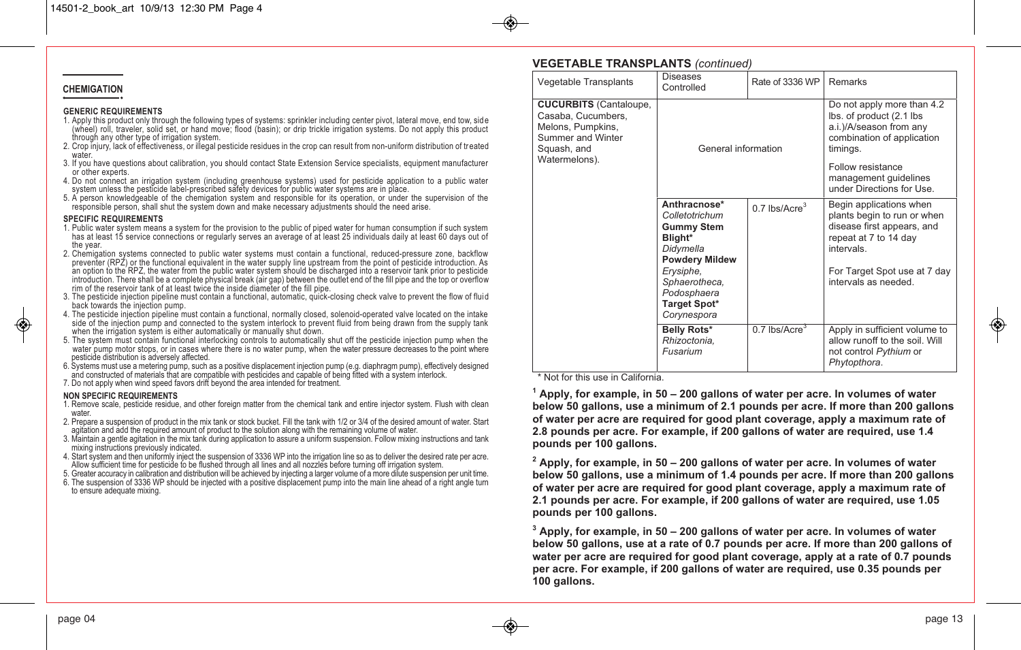#### **CHEMIGATION**

#### **GENERIC REQUIREMENTS**

- 1. Apply this product only through the following types of systems: sprinkler including center pivot, lateral move, end tow, side (wheel) roll, traveler, solid set, or hand move; flood (basin); or drip trickle irrigation systems. Do not apply this product
- 2. Crop injury, lack of effectiveness, or illegal pesticide residues in the crop can result from non-uniform distribution of treated<br>water.<br>3. If you have questions about calibration, you should contact State Extension Ser
- 
- 
- 

- **SPECIFIC REQUIREMENTS**<br>1. Public water system means a system for the provision to the public of piped water for human consumption if such system has at least 15 service connections or regularly serves an average of at least 25 individuals daily at least 60 days out of<br>the vear.
- 2. Chemigation systems connected to public water systems must contain a functional, reduced-pressure zone, backflow preventer (RP2) or the functional equivalent in the water supply line upstream from the point of pesticide
- 
- 4. The pesticide injection pipeline must contain a functional, normally closed, solenoid-operated valve located on the intake side of the injection pump and connected to the system interlock to prevent fluid from being dra
- pesticide distribution is adversely affected.
- 6. Systems must use a metering pump, such as a positive displacement injection pump (e.g. diaphragm pump), effectively designed and constructed of materials that are compatible with pesticides and capable of being fitted with a system interlock.
- 7. Do not apply when wind speed favors drift beyond the area intended for treatment.

#### **NON SPECIFIC REQUIREMENTS**

- 1. Remove scale, pesticide residue, and other foreign matter from the chemical tank and entire injector system. Flush with clean water.<br>2. Prepare a suspension of product in the mix tank or stock bucket. Fill the tank with 1/2 or 3/4 of the desired amount of water. Start
- agitation and add the required amount of product to the solution along with the remaining volume of water.<br>3. Maintain a gentle agitation in the mix tank during application to assure a uniform suspension. Follow mixing ins
- mixing instructions previously indicated.
- 4. Start system and then uniformly inject the suspension of 3336 WP into the irrigation line so as to deliver the desired rate per acre. Allow sufficient time for pesticide to be flushed through all lines and all nozzles before turning off irrigation system.<br>5. Greater accuracy in calibration and distribution will be achieved by injecting a larger volume of
- 
- 6. The suspension of 3336 WP should be injected with a positive displacement pump into the main line ahead of a right angle turn to ensure adequate mixing.

| Vegetable Transplants                                                                                                         | piovaovo<br>Controlled                                                                                                                                                                  | Rate of 3336 WP             | Remarks                                                                                                                                                                                                |
|-------------------------------------------------------------------------------------------------------------------------------|-----------------------------------------------------------------------------------------------------------------------------------------------------------------------------------------|-----------------------------|--------------------------------------------------------------------------------------------------------------------------------------------------------------------------------------------------------|
| <b>CUCURBITS</b> (Cantaloupe,<br>Casaba, Cucumbers,<br>Melons, Pumpkins,<br>Summer and Winter<br>Squash, and<br>Watermelons). | General information                                                                                                                                                                     |                             | Do not apply more than 4.2<br>lbs. of product (2.1 lbs<br>a.i.)/A/season from any<br>combination of application<br>timings.<br>Follow resistance<br>management guidelines<br>under Directions for Use. |
|                                                                                                                               | Anthracnose*<br>Colletotrichum<br><b>Gummy Stem</b><br>Blight*<br>Didymella<br><b>Powdery Mildew</b><br>Erysiphe,<br>Sphaerotheca,<br>Podosphaera<br><b>Target Spot*</b><br>Corynespora | $0.7$ lbs/Acre <sup>3</sup> | Begin applications when<br>plants begin to run or when<br>disease first appears, and<br>repeat at 7 to 14 day<br>intervals.<br>For Target Spot use at 7 day<br>intervals as needed.                    |
|                                                                                                                               | Belly Rots*<br>Rhizoctonia.<br>Fusarium                                                                                                                                                 | $0.7$ lbs/Acre <sup>3</sup> | Apply in sufficient volume to<br>allow runoff to the soil. Will<br>not control Pythium or<br>Phytopthora.                                                                                              |

\* Not for this use in California.

**VEGETABLE TRANSPLANTS** *(continued)*

Vegetable Transplants Diseases

**1 Apply, for example, in 50 – 200 gallons of water per acre. In volumes of water below 50 gallons, use a minimum of 2.1 pounds per acre. If more than 200 gallons of water per acre are required for good plant coverage, apply a maximum rate of 2.8 pounds per acre. For example, if 200 gallons of water are required, use 1.4 pounds per 100 gallons.** 

**2 Apply, for example, in 50 – 200 gallons of water per acre. In volumes of water below 50 gallons, use a minimum of 1.4 pounds per acre. If more than 200 gallons of water per acre are required for good plant coverage, apply a maximum rate of 2.1 pounds per acre. For example, if 200 gallons of water are required, use 1.05 pounds per 100 gallons.** 

**3 Apply, for example, in 50 – 200 gallons of water per acre. In volumes of water below 50 gallons, use at a rate of 0.7 pounds per acre. If more than 200 gallons of water per acre are required for good plant coverage, apply at a rate of 0.7 pounds per acre. For example, if 200 gallons of water are required, use 0.35 pounds per 100 gallons.**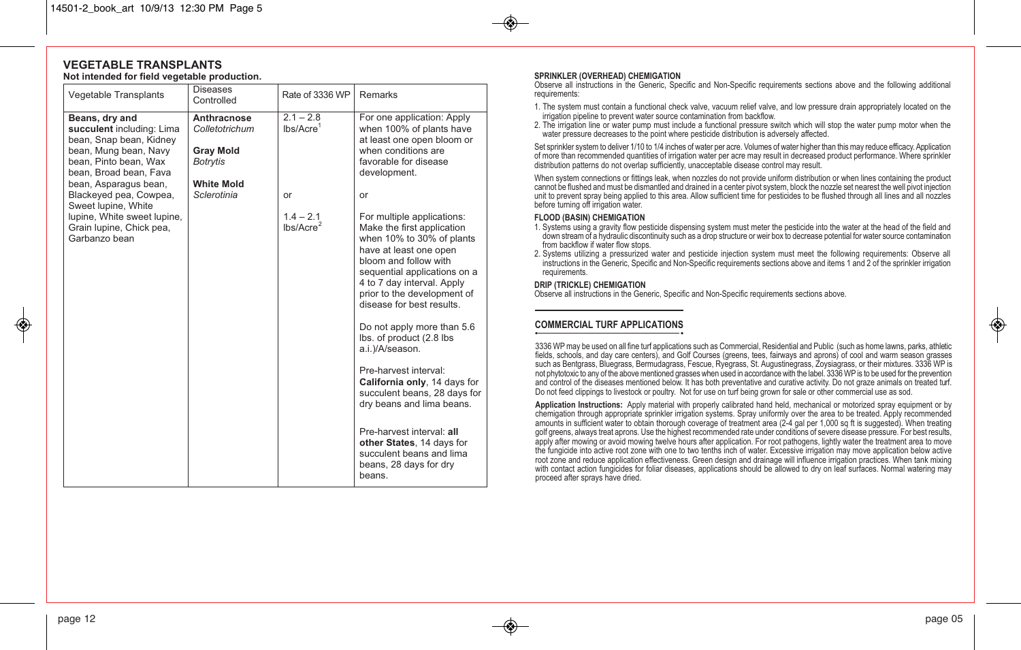#### **VEGETABLE TRANSPLANTS Not intended for field vegetable production.**

| Vegetable Transplants                                                                                                                                                                                 | <b>Diseases</b><br>Controlled                                                                            | Rate of 3336 WP                             | Remarks                                                                                                                                                                                                                                                                                                                                                                                                                                                                                                                                                     |
|-------------------------------------------------------------------------------------------------------------------------------------------------------------------------------------------------------|----------------------------------------------------------------------------------------------------------|---------------------------------------------|-------------------------------------------------------------------------------------------------------------------------------------------------------------------------------------------------------------------------------------------------------------------------------------------------------------------------------------------------------------------------------------------------------------------------------------------------------------------------------------------------------------------------------------------------------------|
| Beans, dry and<br>succulent including: Lima<br>bean, Snap bean, Kidney<br>bean, Mung bean, Navy<br>bean, Pinto bean, Wax<br>bean, Broad bean, Fava<br>bean, Asparagus bean,<br>Blackeyed pea, Cowpea, | Anthracnose<br>Colletotrichum<br><b>Gray Mold</b><br><b>Botrytis</b><br><b>White Mold</b><br>Sclerotinia | $2.1 - 2.8$<br>lbs/Accre <sup>1</sup><br>or | For one application: Apply<br>when 100% of plants have<br>at least one open bloom or<br>when conditions are<br>favorable for disease<br>development.<br>or                                                                                                                                                                                                                                                                                                                                                                                                  |
| Sweet lupine, White<br>lupine, White sweet lupine,<br>Grain lupine, Chick pea,<br>Garbanzo bean                                                                                                       |                                                                                                          | $1.4 - 2.1$<br>lbs/Accre <sup>2</sup>       | For multiple applications:<br>Make the first application<br>when 10% to 30% of plants<br>have at least one open<br>bloom and follow with<br>sequential applications on a<br>4 to 7 day interval. Apply<br>prior to the development of<br>disease for best results.<br>Do not apply more than 5.6<br>lbs. of product (2.8 lbs<br>a.i.)/A/season.<br>Pre-harvest interval:<br>California only, 14 days for<br>succulent beans, 28 days for<br>dry beans and lima beans.<br>Pre-harvest interval: all<br>other States, 14 days for<br>succulent beans and lima |

#### **SPRINKLER (OVERHEAD) CHEMIGATION**

Observe all instructions in the Generic, Specific and Non-Specific requirements sections above and the following additional requirements:

- 1. The system must contain a functional check valve, vacuum relief valve, and low pressure drain appropriately located on the irrigation pipeline to prevent water source contamination from backflow.<br>2. The irrigation line
- 

Set sprinkler system to deliver 1/10 to 1/4 inches of water per acre. Volumes of water higher than this may reduce efficacy. Application of more than recommended quantities of irrigation water per acre may result in decreased product performance. Where sprinkler<br>distribution patterns do not overlap sufficiently, unacceptable disease control may result.

When system connections or fittings leak, when nozzles do not provide uniform distribution or when lines containing the product cannot be flushed and must be dismantled and drained in a center pivot system, block the nozzle set nearest the well pivot injection unit to prevent spray being applied to this area. Allow sufficient time for pesticides to be flushed through all lines and all nozzles before turning off irrigation water.

#### **FLOOD (BASIN) CHEMIGATION**

- 1. Systems using a gravity flow pesticide dispensing system must meter the pesticide into the water at the head of the field and from backflow if water flow stops.<br>2. Systems utilizing a pressurized water and pesticide injection system must meet the following requirements: Observe all
- instructions in the Generic, Specific and Non-Specific requirements sections above and items 1 and 2 of the sprinkler irrigation requirements.

#### **DRIP (TRICKLE) CHEMIGATION**

Observe all instructions in the Generic, Specific and Non-Specific requirements sections above.

#### **COMMERCIAL TURF APPLICATIONS**

3336 WP may be used on all fine turf applications such as Commercial, Residential and Public (such as home lawns, parks, athletic fields, schools, and day care centers), and Golf Courses (greens, tees, fairways and aprons) of cool and warm season grasses such as Bentgrass, Bluegrass, Bermudagrass, Fescue, Ryegrass, St. Augustinegrass, Zoysiagrass, or their mixtures. 3336 WP is not phytotoxic to any of the above mentioned grasses when used in accordance with the label. 3336 WP is to be used for the prevention and control of the diseases mentioned below. It has both preventative and curative activity. Do not graze animals on treated turf. Do not feed clippings to livestock or poultry. Not for use on turf being grown for sale or other commercial use as sod.

**Application Instructions:** Apply material with properly calibrated hand held, mechanical or motorized spray equipment or by chemigation through appropriate sprinkler irrigation systems. Spray uniformly over the area to be treated. Apply recommended amounts in sufficient water to obtain thorough coverage of treatment area (2-4 gal per 1,000 sq ft is suggested). When treating golf greens, always treat aprons. Use the highest recommended rate under conditions of severe disease pressure. For best results, apply after mowing or avoid mowing twelve hours after application. For root pathogens, lightly water the treatment area to move the fungicide into active root zone with one to two tenths inch of water. Excessive irrigation may move application below active root zone and reduce application effectiveness. Green design and drainage will influence irrigation practices. When tank mixing with contact action fungicides for foliar diseases, applications should be allowed to dry on leaf surfaces. Normal watering may proceed after sprays have dried.

↔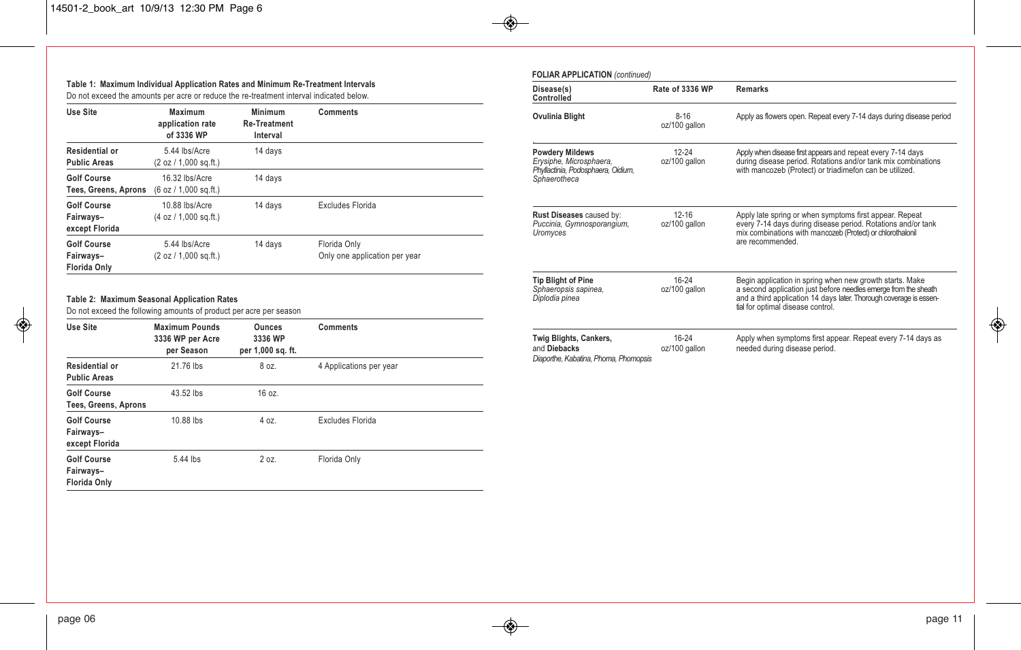#### **Table 1: Maximum Individual Application Rates and Minimum Re-Treatment Intervals** Do not exceed the amounts per acre or reduce the re-treatment interval indicated below.

| Use Site                                               | Maximum<br>application rate<br>of 3336 WP            | <b>Minimum</b><br><b>Re-Treatment</b><br>Interval | <b>Comments</b>                               |
|--------------------------------------------------------|------------------------------------------------------|---------------------------------------------------|-----------------------------------------------|
| Residential or<br><b>Public Areas</b>                  | 5.44 lbs/Acre<br>(2 oz / 1,000 sg. ft.)              | 14 days                                           |                                               |
| <b>Golf Course</b><br>Tees, Greens, Aprons             | 16.32 lbs/Acre<br>(6 oz / 1,000 sg. ft.)             | 14 days                                           |                                               |
| <b>Golf Course</b><br>Fairways-<br>except Florida      | 10.88 lbs/Acre<br>(4 oz / 1.000 sa. <sub>ft.</sub> ) | 14 days                                           | Excludes Florida                              |
| <b>Golf Course</b><br>Fairways-<br><b>Florida Only</b> | 5.44 lbs/Acre<br>(2 oz / 1,000 sg.ft.)               | 14 days                                           | Florida Only<br>Only one application per year |

#### **Table 2: Maximum Seasonal Application Rates**

Do not exceed the following amounts of product per acre per season

| Use Site                                               | <b>Maximum Pounds</b><br>3336 WP per Acre<br>per Season | <b>Ounces</b><br>3336 WP<br>per 1,000 sq. ft. | <b>Comments</b>         |
|--------------------------------------------------------|---------------------------------------------------------|-----------------------------------------------|-------------------------|
| Residential or<br><b>Public Areas</b>                  | 21.76 lbs                                               | 8 oz.                                         | 4 Applications per year |
| <b>Golf Course</b><br>Tees, Greens, Aprons             | 43.52 lbs                                               | 16 oz.                                        |                         |
| <b>Golf Course</b><br>Fairways-<br>except Florida      | 10.88 lbs                                               | 4 oz.                                         | <b>Excludes Florida</b> |
| <b>Golf Course</b><br>Fairways-<br><b>Florida Only</b> | 5.44 lbs                                                | 2 oz.                                         | Florida Only            |

| Disease(s)<br>Controlled                                                                                | Rate of 3336 WP            | <b>Remarks</b>                                                                                                                                                                                                                         |
|---------------------------------------------------------------------------------------------------------|----------------------------|----------------------------------------------------------------------------------------------------------------------------------------------------------------------------------------------------------------------------------------|
| <b>Ovulinia Blight</b>                                                                                  | $8 - 16$<br>oz/100 gallon  | Apply as flowers open. Repeat every 7-14 days during disease period                                                                                                                                                                    |
| <b>Powdery Mildews</b><br>Erysiphe, Microsphaera,<br>Phyllactinia, Podosphaera, Oidium,<br>Sphaerotheca | $12 - 24$<br>oz/100 gallon | Apply when disease first appears and repeat every 7-14 days<br>during disease period. Rotations and/or tank mix combinations<br>with mancozeb (Protect) or triadimefon can be utilized.                                                |
| Rust Diseases caused by:<br>Puccinia, Gymnosporangium,<br>Uromyces                                      | $12 - 16$<br>oz/100 gallon | Apply late spring or when symptoms first appear. Repeat<br>every 7-14 days during disease period. Rotations and/or tank<br>mix combinations with mancozeb (Protect) or chlorothalonil<br>are recommended.                              |
| <b>Tip Blight of Pine</b><br>Sphaeropsis sapinea,<br>Diplodia pinea                                     | 16-24<br>oz/100 gallon     | Begin application in spring when new growth starts. Make<br>a second application just before needles emerge from the sheath<br>and a third application 14 days later. Thorough coverage is essen-<br>tial for optimal disease control. |
| Twig Blights, Cankers,<br>and Diebacks<br>Diaporthe, Kabatina, Phoma, Phomopsis                         | 16-24<br>oz/100 gallon     | Apply when symptoms first appear. Repeat every 7-14 days as<br>needed during disease period.                                                                                                                                           |

 $\bigoplus$ 

 $\bigoplus$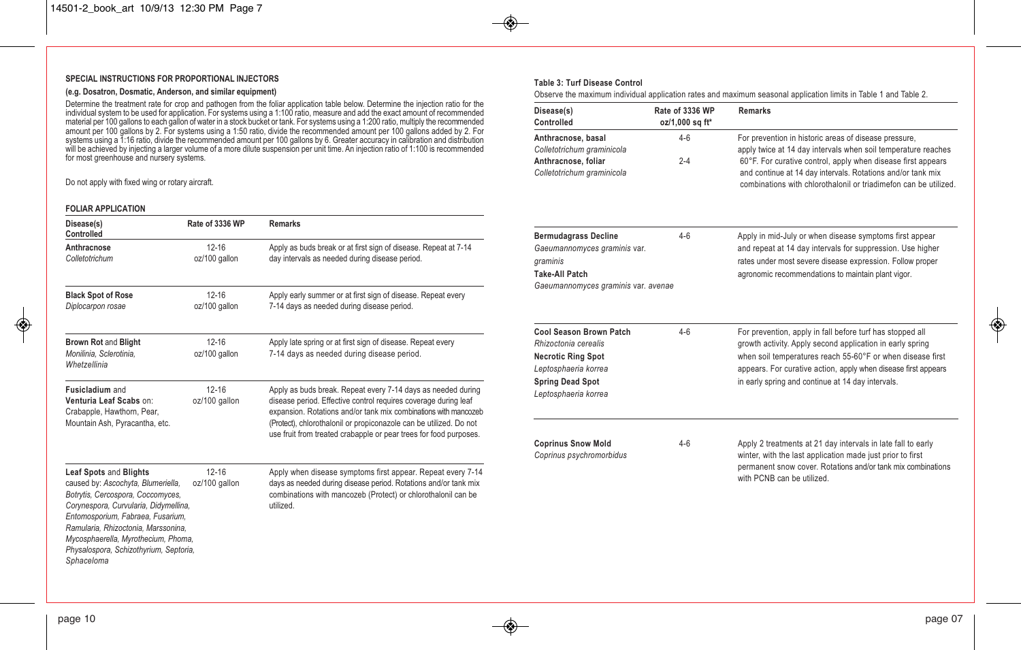#### **SPECIAL INSTRUCTIONS FOR PROPORTIONAL INJECTORS**

#### **(e.g. Dosatron, Dosmatic, Anderson, and similar equipment)**

Determine the treatment rate for crop and pathogen from the foliar application table below. Determine the injection ratio for the individual system to be used for application. For systems using a 1:100 ratio, measure and a amount per 100 gallons by 2. For systems using a 1:50 ratio, divide the recommended amount per 100 gallons added by 2. For systems using a 1:16 ratio, divide the recommended amount per 100 gallons by 6. Greater accuracy in calibration and distribution will be achieved by injecting a larger volume of a more dilute suspension per unit time. An injection ratio of 1:100 is recommended for most greenhouse and nursery systems.

Do not apply with fixed wing or rotary aircraft.

#### **FOLIAR APPLICATION**

↔

| Disease(s)<br><b>Controlled</b>                                                                                                                                                                                                                                                                                       | Rate of 3336 WP            | <b>Remarks</b>                                                                                                                                                                                                                                                                                                                                |
|-----------------------------------------------------------------------------------------------------------------------------------------------------------------------------------------------------------------------------------------------------------------------------------------------------------------------|----------------------------|-----------------------------------------------------------------------------------------------------------------------------------------------------------------------------------------------------------------------------------------------------------------------------------------------------------------------------------------------|
| Anthracnose<br>Colletotrichum                                                                                                                                                                                                                                                                                         | $12 - 16$<br>oz/100 gallon | Apply as buds break or at first sign of disease. Repeat at 7-14<br>day intervals as needed during disease period.                                                                                                                                                                                                                             |
| <b>Black Spot of Rose</b><br>Diplocarpon rosae                                                                                                                                                                                                                                                                        | $12 - 16$<br>oz/100 gallon | Apply early summer or at first sign of disease. Repeat every<br>7-14 days as needed during disease period.                                                                                                                                                                                                                                    |
| <b>Brown Rot and Blight</b><br>Monilinia, Sclerotinia,<br>Whetzellinia                                                                                                                                                                                                                                                | $12 - 16$<br>oz/100 gallon | Apply late spring or at first sign of disease. Repeat every<br>7-14 days as needed during disease period.                                                                                                                                                                                                                                     |
| <b>Fusicladium</b> and<br>Venturia Leaf Scabs on:<br>Crabapple, Hawthorn, Pear,<br>Mountain Ash, Pyracantha, etc.                                                                                                                                                                                                     | $12 - 16$<br>oz/100 gallon | Apply as buds break. Repeat every 7-14 days as needed during<br>disease period. Effective control requires coverage during leaf<br>expansion. Rotations and/or tank mix combinations with mancozeb<br>(Protect), chlorothalonil or propiconazole can be utilized. Do not<br>use fruit from treated crabapple or pear trees for food purposes. |
| Leaf Spots and Blights<br>caused by: Ascochyta, Blumeriella,<br>Botrytis, Cercospora, Coccomyces,<br>Corynespora, Curvularia, Didymellina,<br>Entomosporium, Fabraea, Fusarium,<br>Ramularia, Rhizoctonia, Marssonina,<br>Mycosphaerella, Myrothecium, Phoma,<br>Physalospora, Schizothyrium, Septoria,<br>Sphaceloma | $12 - 16$<br>oz/100 gallon | Apply when disease symptoms first appear. Repeat every 7-14<br>days as needed during disease period. Rotations and/or tank mix<br>combinations with mancozeb (Protect) or chlorothalonil can be<br>utilized.                                                                                                                                  |

#### **Table 3: Turf Disease Control**

Observe the maximum individual application rates and maximum seasonal application limits in Table 1 and Table 2.

| Disease(s)<br>Controlled                                    | Rate of 3336 WP<br>oz/1,000 sq ft* | <b>Remarks</b>                                                                                                                                                                                                           |
|-------------------------------------------------------------|------------------------------------|--------------------------------------------------------------------------------------------------------------------------------------------------------------------------------------------------------------------------|
| Anthracnose, basal<br>Colletotrichum graminicola            | $4 - 6$                            | For prevention in historic areas of disease pressure,<br>apply twice at 14 day intervals when soil temperature reaches                                                                                                   |
| Anthracnose, foliar<br>Colletotrichum graminicola           | $2 - 4$                            | 60°F. For curative control, apply when disease first appears<br>and continue at 14 day intervals. Rotations and/or tank mix<br>combinations with chlorothalonil or triadimeton can be utilized                           |
| <b>Bermudagrass Decline</b><br>Gaeumannomyces graminis var. | $4 - 6$                            | Apply in mid-July or when disease symptoms first appear<br>and repeat at 14 day intervals for suppression. Use higher                                                                                                    |
| graminis                                                    |                                    | rates under most severe disease expression. Follow proper                                                                                                                                                                |
| <b>Take-All Patch</b>                                       |                                    | agronomic recommendations to maintain plant vigor.                                                                                                                                                                       |
| Gaeumannomyces graminis var. avenae                         |                                    |                                                                                                                                                                                                                          |
| Cool Season Brown Patch<br>Rhizoctonia cerealis             | $4 - 6$                            | For prevention, apply in fall before turf has stopped all                                                                                                                                                                |
| <b>Necrotic Ring Spot</b>                                   |                                    | growth activity. Apply second application in early spring<br>when soil temperatures reach 55-60°F or when disease first                                                                                                  |
| Leptosphaeria korrea                                        |                                    | appears. For curative action, apply when disease first appears                                                                                                                                                           |
| <b>Spring Dead Spot</b>                                     |                                    | in early spring and continue at 14 day intervals.                                                                                                                                                                        |
| Leptosphaeria korrea                                        |                                    |                                                                                                                                                                                                                          |
|                                                             |                                    |                                                                                                                                                                                                                          |
| <b>Coprinus Snow Mold</b><br>Coprinus psychromorbidus       | $4 - 6$                            | Apply 2 treatments at 21 day intervals in late fall to early<br>winter, with the last application made just prior to first<br>permanent snow cover. Rotations and/or tank mix combinations<br>with PCNB can be utilized. |

 $\bigcirc$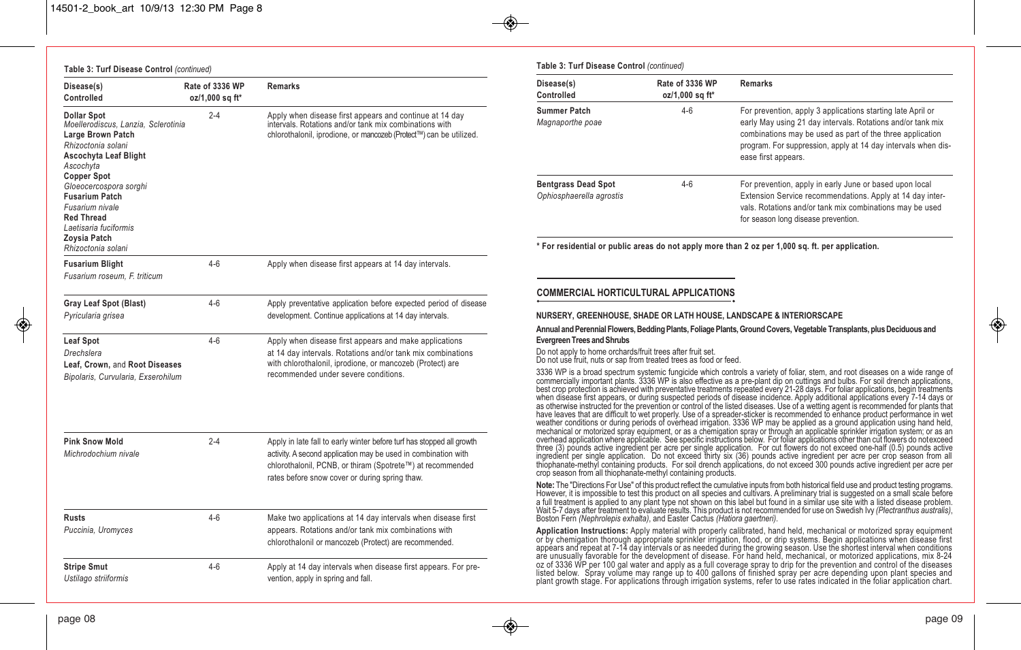| Disease(s)<br>Controlled                                                                                                                                                                                                                                                                                                   | Rate of 3336 WP<br>oz/1,000 sq ft* | <b>Remarks</b>                                                                                                                                                                                                                                          |
|----------------------------------------------------------------------------------------------------------------------------------------------------------------------------------------------------------------------------------------------------------------------------------------------------------------------------|------------------------------------|---------------------------------------------------------------------------------------------------------------------------------------------------------------------------------------------------------------------------------------------------------|
| <b>Dollar Spot</b><br>Moellerodiscus, Lanzia, Sclerotinia<br>Large Brown Patch<br>Rhizoctonia solani<br>Ascochyta Leaf Blight<br>Ascochyta<br><b>Copper Spot</b><br>Gloeocercospora sorghi<br><b>Fusarium Patch</b><br>Fusarium nivale<br><b>Red Thread</b><br>Laetisaria fuciformis<br>Zoysia Patch<br>Rhizoctonia solani | $2 - 4$                            | Apply when disease first appears and continue at 14 day<br>intervals. Rotations and/or tank mix combinations with<br>chlorothalonil, iprodione, or mancozeb (Protect™) can be utilized.                                                                 |
| <b>Fusarium Blight</b><br>Fusarium roseum, F. triticum                                                                                                                                                                                                                                                                     | $4 - 6$                            | Apply when disease first appears at 14 day intervals.                                                                                                                                                                                                   |
| <b>Gray Leaf Spot (Blast)</b><br>Pyricularia grisea                                                                                                                                                                                                                                                                        | $4-6$                              | Apply preventative application before expected period of disease<br>development. Continue applications at 14 day intervals.                                                                                                                             |
| Leaf Spot<br>Drechslera<br>Leaf, Crown, and Root Diseases<br>Bipolaris, Curvularia, Exserohilum                                                                                                                                                                                                                            | $4 - 6$                            | Apply when disease first appears and make applications<br>at 14 day intervals. Rotations and/or tank mix combinations<br>with chlorothalonil, iprodione, or mancozeb (Protect) are<br>recommended under severe conditions.                              |
| <b>Pink Snow Mold</b><br>Michrodochium nivale                                                                                                                                                                                                                                                                              | $2 - 4$                            | Apply in late fall to early winter before turf has stopped all growth<br>activity. A second application may be used in combination with<br>chlorothalonil, PCNB, or thiram (Spotrete™) at recommended<br>rates before snow cover or during spring thaw. |
| <b>Rusts</b><br>Puccinia, Uromyces                                                                                                                                                                                                                                                                                         | $4 - 6$                            | Make two applications at 14 day intervals when disease first<br>appears. Rotations and/or tank mix combinations with<br>chlorothalonil or mancozeb (Protect) are recommended.                                                                           |
| <b>Stripe Smut</b><br>Ustilago striiformis                                                                                                                                                                                                                                                                                 | $4 - 6$                            | Apply at 14 day intervals when disease first appears. For pre-<br>vention, apply in spring and fall.                                                                                                                                                    |

#### **Table 3: Turf Disease Control** *(continued)*

| Disease(s)<br>Controlled                               | Rate of 3336 WP<br>oz/1,000 sq ft* | <b>Remarks</b>                                                                                                                                                                                                                                                                  |
|--------------------------------------------------------|------------------------------------|---------------------------------------------------------------------------------------------------------------------------------------------------------------------------------------------------------------------------------------------------------------------------------|
| Summer Patch<br>Magnaporthe poae                       | $4-6$                              | For prevention, apply 3 applications starting late April or<br>early May using 21 day intervals. Rotations and/or tank mix<br>combinations may be used as part of the three application<br>program. For suppression, apply at 14 day intervals when dis-<br>ease first appears. |
| <b>Bentgrass Dead Spot</b><br>Ophiosphaerella agrostis | $4-6$                              | For prevention, apply in early June or based upon local<br>Extension Service recommendations. Apply at 14 day inter-<br>vals. Rotations and/or tank mix combinations may be used<br>for season long disease prevention.                                                         |
|                                                        |                                    | * For residential or public areas do not apply more than 2 oz per 1,000 sq. ft. per application.                                                                                                                                                                                |
| <b>COMMERCIAL HORTICULTURAL APPLICATIONS</b>           |                                    |                                                                                                                                                                                                                                                                                 |

#### **NURSERY, GREENHOUSE, SHADE OR LATH HOUSE, LANDSCAPE & INTERIORSCAPE**

**Annual and Perennial Flowers, Bedding Plants, Foliage Plants, Ground Covers, Vegetable Transplants, plus Deciduous and Evergreen Trees and Shrubs**

Do not apply to home orchards/fruit trees after fruit set.<br>Do not use fruit, nuts or sap from treated trees as food or feed.

3336 WP is a broad spectrum systemic fungicide which controls a variety of foliar, stem, and root diseases on a wide range of commercially important plants. 3336 WP is also effective as a pre-plant dip on cuttings and bulb have leaves that are difficult to wet properly. Use of a spreader-sticker is recommended to enhance product performance in wet<br>weather conditions or during periods of overhead irrigation. 3336 WP may be applied as a ground mechanical or motorized spray equipment, or as a chemigation spray or through an applicable sprinkler irrigation system; or as an<br>overhead application where applicable. See specific instructions below. For foliar applicati ingredient per single application. Do not exceed thirty six (36) pounds active ingredient per acre per crop season from all thiophanate-methyl containing products. For soil drench applications, do not exceed 300 pounds active ingredient per acre per crop season from all thiophanate-methyl containing products.

**Note:** The "Directions For Use" of this product reflect the cumulative inputs from both historical field use and product testing programs.<br>However, it is impossible to test this product on all species and cultivars. A pre

Application Instructions: Apply material with properly calibrated, hand held, mechanical or motorized spray equipment<br>or by chemigation through appropriate sprinkler irrigation, flood, or drip systems. Begin applications w plant growth stage. For applications through irrigation systems, refer to use rates indicated in the foliar application chart.

◈